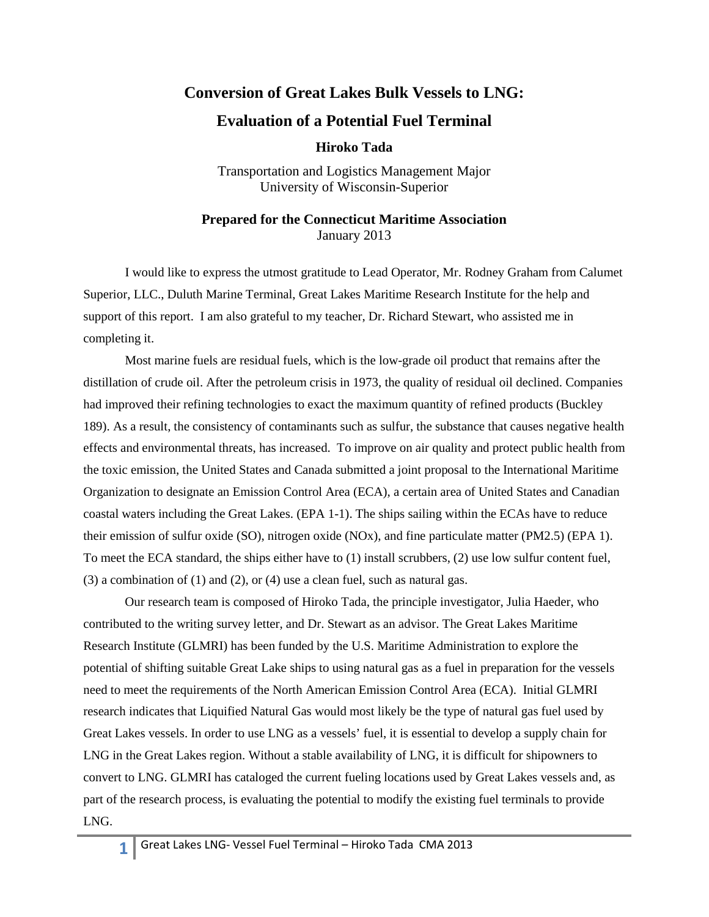# **Conversion of Great Lakes Bulk Vessels to LNG: Evaluation of a Potential Fuel Terminal**

**Hiroko Tada**

Transportation and Logistics Management Major University of Wisconsin-Superior

# **Prepared for the Connecticut Maritime Association** January 2013

I would like to express the utmost gratitude to Lead Operator, Mr. Rodney Graham from Calumet Superior, LLC., Duluth Marine Terminal, Great Lakes Maritime Research Institute for the help and support of this report. I am also grateful to my teacher, Dr. Richard Stewart, who assisted me in completing it.

Most marine fuels are residual fuels, which is the low-grade oil product that remains after the distillation of crude oil. After the petroleum crisis in 1973, the quality of residual oil declined. Companies had improved their refining technologies to exact the maximum quantity of refined products (Buckley 189). As a result, the consistency of contaminants such as sulfur, the substance that causes negative health effects and environmental threats, has increased. To improve on air quality and protect public health from the toxic emission, the United States and Canada submitted a joint proposal to the International Maritime Organization to designate an Emission Control Area (ECA), a certain area of United States and Canadian coastal waters including the Great Lakes. (EPA 1-1). The ships sailing within the ECAs have to reduce their emission of sulfur oxide (SO), nitrogen oxide (NOx), and fine particulate matter (PM2.5) (EPA 1). To meet the ECA standard, the ships either have to (1) install scrubbers, (2) use low sulfur content fuel, (3) a combination of (1) and (2), or (4) use a clean fuel, such as natural gas.

Our research team is composed of Hiroko Tada, the principle investigator, Julia Haeder, who contributed to the writing survey letter, and Dr. Stewart as an advisor. The Great Lakes Maritime Research Institute (GLMRI) has been funded by the U.S. Maritime Administration to explore the potential of shifting suitable Great Lake ships to using natural gas as a fuel in preparation for the vessels need to meet the requirements of the North American Emission Control Area (ECA). Initial GLMRI research indicates that Liquified Natural Gas would most likely be the type of natural gas fuel used by Great Lakes vessels. In order to use LNG as a vessels' fuel, it is essential to develop a supply chain for LNG in the Great Lakes region. Without a stable availability of LNG, it is difficult for shipowners to convert to LNG. GLMRI has cataloged the current fueling locations used by Great Lakes vessels and, as part of the research process, is evaluating the potential to modify the existing fuel terminals to provide LNG.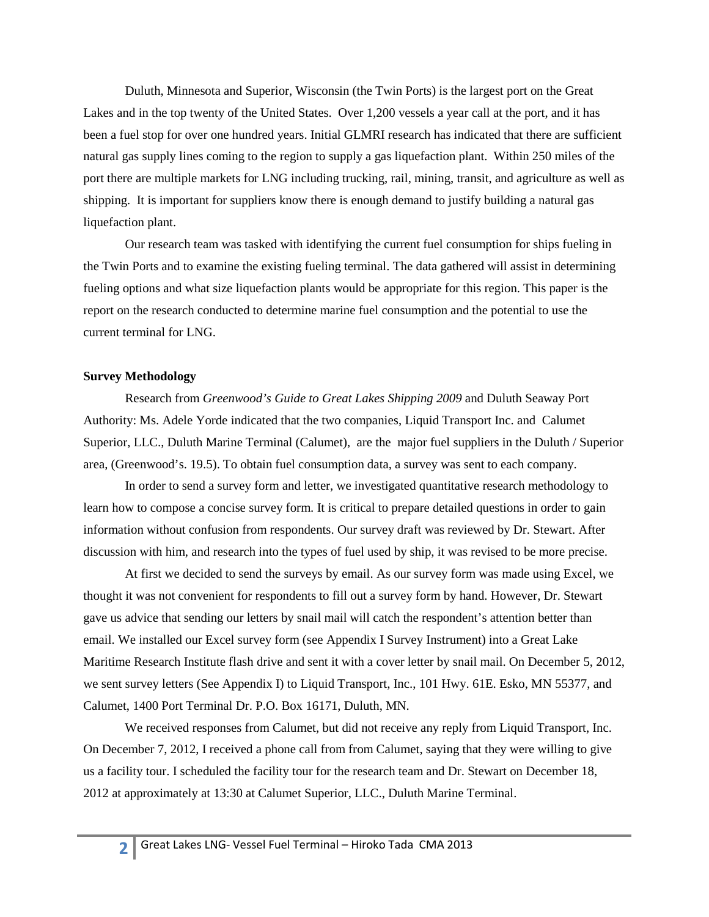Duluth, Minnesota and Superior, Wisconsin (the Twin Ports) is the largest port on the Great Lakes and in the top twenty of the United States. Over 1,200 vessels a year call at the port, and it has been a fuel stop for over one hundred years. Initial GLMRI research has indicated that there are sufficient natural gas supply lines coming to the region to supply a gas liquefaction plant. Within 250 miles of the port there are multiple markets for LNG including trucking, rail, mining, transit, and agriculture as well as shipping. It is important for suppliers know there is enough demand to justify building a natural gas liquefaction plant.

Our research team was tasked with identifying the current fuel consumption for ships fueling in the Twin Ports and to examine the existing fueling terminal. The data gathered will assist in determining fueling options and what size liquefaction plants would be appropriate for this region. This paper is the report on the research conducted to determine marine fuel consumption and the potential to use the current terminal for LNG.

#### **Survey Methodology**

Research from *Greenwood's Guide to Great Lakes Shipping 2009* and Duluth Seaway Port Authority: Ms. Adele Yorde indicated that the two companies, Liquid Transport Inc. and Calumet Superior, LLC., Duluth Marine Terminal (Calumet), are the major fuel suppliers in the Duluth / Superior area, (Greenwood's. 19.5). To obtain fuel consumption data, a survey was sent to each company.

In order to send a survey form and letter, we investigated quantitative research methodology to learn how to compose a concise survey form. It is critical to prepare detailed questions in order to gain information without confusion from respondents. Our survey draft was reviewed by Dr. Stewart. After discussion with him, and research into the types of fuel used by ship, it was revised to be more precise.

At first we decided to send the surveys by email. As our survey form was made using Excel, we thought it was not convenient for respondents to fill out a survey form by hand. However, Dr. Stewart gave us advice that sending our letters by snail mail will catch the respondent's attention better than email. We installed our Excel survey form (see Appendix I Survey Instrument) into a Great Lake Maritime Research Institute flash drive and sent it with a cover letter by snail mail. On December 5, 2012, we sent survey letters (See Appendix I) to Liquid Transport, Inc., 101 Hwy. 61E. Esko, MN 55377, and Calumet, 1400 Port Terminal Dr. P.O. Box 16171, Duluth, MN.

We received responses from Calumet, but did not receive any reply from Liquid Transport, Inc. On December 7, 2012, I received a phone call from from Calumet, saying that they were willing to give us a facility tour. I scheduled the facility tour for the research team and Dr. Stewart on December 18, 2012 at approximately at 13:30 at Calumet Superior, LLC., Duluth Marine Terminal.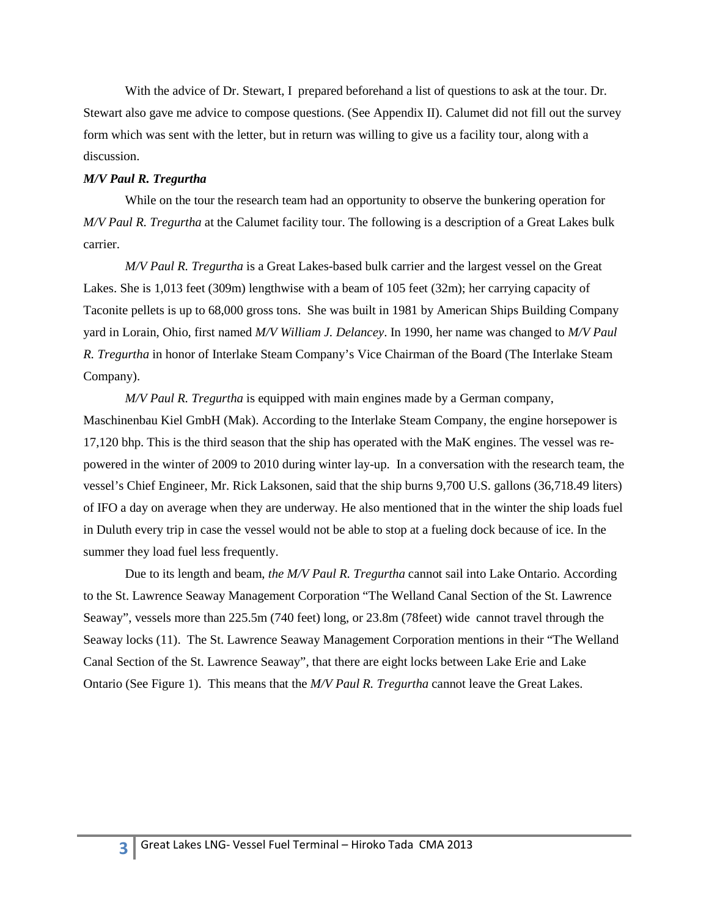With the advice of Dr. Stewart, I prepared beforehand a list of questions to ask at the tour. Dr. Stewart also gave me advice to compose questions. (See Appendix II). Calumet did not fill out the survey form which was sent with the letter, but in return was willing to give us a facility tour, along with a discussion.

#### *M/V Paul R. Tregurtha*

While on the tour the research team had an opportunity to observe the bunkering operation for *M/V Paul R. Tregurtha* at the Calumet facility tour. The following is a description of a Great Lakes bulk carrier.

*M/V Paul R. Tregurtha* is a Great Lakes-based bulk carrier and the largest vessel on the Great Lakes. She is 1,013 feet (309m) lengthwise with a beam of 105 feet (32m); her carrying capacity of Taconite pellets is up to 68,000 gross tons. She was built in 1981 by American Ships Building Company yard in Lorain, Ohio, first named *M/V William J. Delancey*. In 1990, her name was changed to *M/V Paul R. Tregurtha* in honor of Interlake Steam Company's Vice Chairman of the Board (The Interlake Steam Company).

*M/V Paul R. Tregurtha* is equipped with main engines made by a German company, Maschinenbau Kiel GmbH (Mak). According to the Interlake Steam Company, the engine horsepower is 17,120 bhp. This is the third season that the ship has operated with the MaK engines. The vessel was repowered in the winter of 2009 to 2010 during winter lay-up. In a conversation with the research team, the vessel's Chief Engineer, Mr. Rick Laksonen, said that the ship burns 9,700 U.S. gallons (36,718.49 liters) of IFO a day on average when they are underway. He also mentioned that in the winter the ship loads fuel in Duluth every trip in case the vessel would not be able to stop at a fueling dock because of ice. In the summer they load fuel less frequently.

Due to its length and beam, *the M/V Paul R. Tregurtha* cannot sail into Lake Ontario. According to the St. Lawrence Seaway Management Corporation "The Welland Canal Section of the St. Lawrence Seaway", vessels more than 225.5m (740 feet) long, or 23.8m (78feet) wide cannot travel through the Seaway locks (11). The St. Lawrence Seaway Management Corporation mentions in their "The Welland Canal Section of the St. Lawrence Seaway", that there are eight locks between Lake Erie and Lake Ontario (See Figure 1). This means that the *M/V Paul R. Tregurtha* cannot leave the Great Lakes.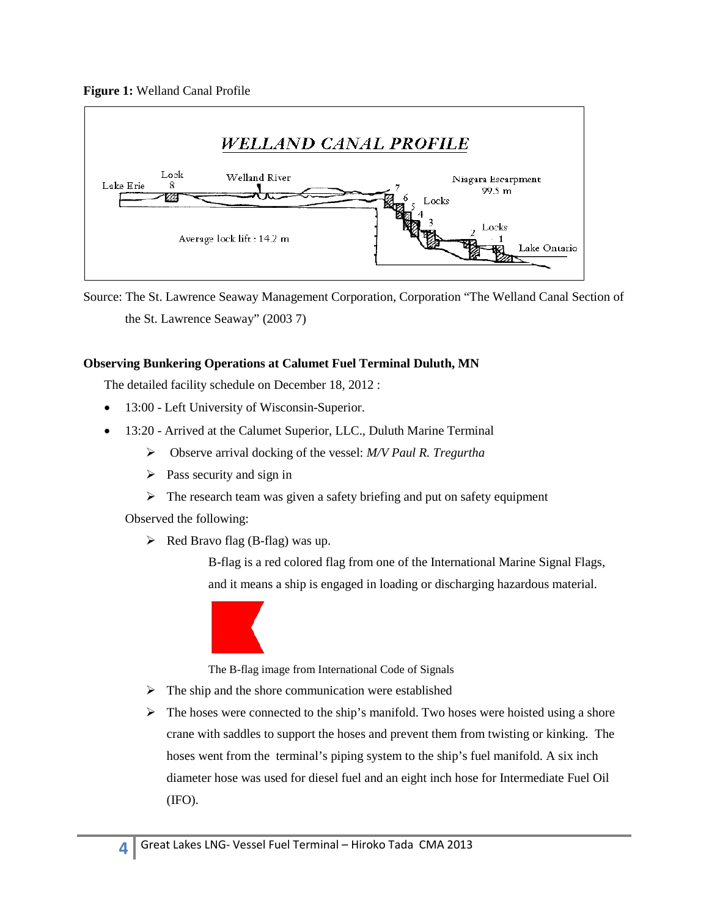



Source: The St. Lawrence Seaway Management Corporation, Corporation "The Welland Canal Section of the St. Lawrence Seaway" (2003 7)

# **Observing Bunkering Operations at Calumet Fuel Terminal Duluth, MN**

The detailed facility schedule on December 18, 2012 :

- 13:00 Left University of Wisconsin-Superior.
- 13:20 Arrived at the Calumet Superior, LLC., Duluth Marine Terminal
	- Observe arrival docking of the vessel: *M/V Paul R. Tregurtha*
	- $\triangleright$  Pass security and sign in
	- $\triangleright$  The research team was given a safety briefing and put on safety equipment

Observed the following:

 $\triangleright$  Red Bravo flag (B-flag) was up.

B-flag is a red colored flag from one of the International Marine Signal Flags, and it means a ship is engaged in loading or discharging hazardous material.



The B-flag image from International Code of Signals

- $\triangleright$  The ship and the shore communication were established
- $\triangleright$  The hoses were connected to the ship's manifold. Two hoses were hoisted using a shore crane with saddles to support the hoses and prevent them from twisting or kinking. The hoses went from the terminal's piping system to the ship's fuel manifold. A six inch diameter hose was used for diesel fuel and an eight inch hose for Intermediate Fuel Oil (IFO).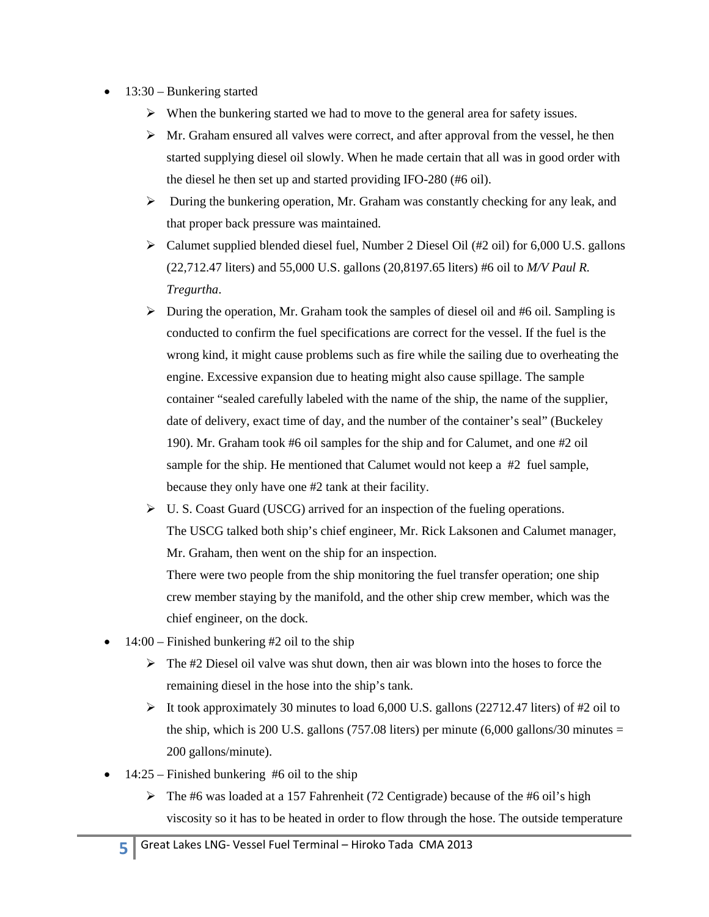- 13:30 Bunkering started
	- $\triangleright$  When the bunkering started we had to move to the general area for safety issues.
	- $\triangleright$  Mr. Graham ensured all valves were correct, and after approval from the vessel, he then started supplying diesel oil slowly. When he made certain that all was in good order with the diesel he then set up and started providing IFO-280 (#6 oil).
	- $\triangleright$  During the bunkering operation, Mr. Graham was constantly checking for any leak, and that proper back pressure was maintained.
	- $\triangleright$  Calumet supplied blended diesel fuel, Number 2 Diesel Oil (#2 oil) for 6,000 U.S. gallons (22,712.47 liters) and 55,000 U.S. gallons (20,8197.65 liters) #6 oil to *M/V Paul R. Tregurtha*.
	- $\triangleright$  During the operation, Mr. Graham took the samples of diesel oil and #6 oil. Sampling is conducted to confirm the fuel specifications are correct for the vessel. If the fuel is the wrong kind, it might cause problems such as fire while the sailing due to overheating the engine. Excessive expansion due to heating might also cause spillage. The sample container "sealed carefully labeled with the name of the ship, the name of the supplier, date of delivery, exact time of day, and the number of the container's seal" (Buckeley 190). Mr. Graham took #6 oil samples for the ship and for Calumet, and one #2 oil sample for the ship. He mentioned that Calumet would not keep a #2 fuel sample, because they only have one #2 tank at their facility.
	- U. S. Coast Guard (USCG) arrived for an inspection of the fueling operations. The USCG talked both ship's chief engineer, Mr. Rick Laksonen and Calumet manager, Mr. Graham, then went on the ship for an inspection.

There were two people from the ship monitoring the fuel transfer operation; one ship crew member staying by the manifold, and the other ship crew member, which was the chief engineer, on the dock.

- $14:00$  Finished bunkering #2 oil to the ship
	- $\triangleright$  The #2 Diesel oil valve was shut down, then air was blown into the hoses to force the remaining diesel in the hose into the ship's tank.
	- It took approximately 30 minutes to load 6,000 U.S. gallons (22712.47 liters) of #2 oil to the ship, which is 200 U.S. gallons (757.08 liters) per minute  $(6,000 \text{ gallons}/30 \text{ minutes} =$ 200 gallons/minute).
- $14:25$  Finished bunkering #6 oil to the ship
	- $\triangleright$  The #6 was loaded at a 157 Fahrenheit (72 Centigrade) because of the #6 oil's high viscosity so it has to be heated in order to flow through the hose. The outside temperature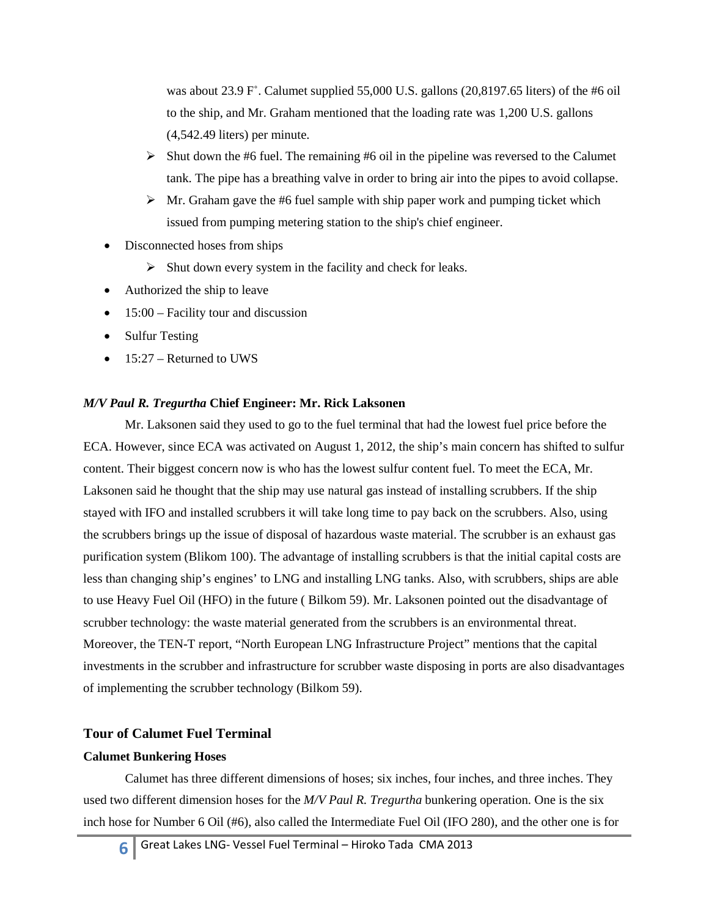was about 23.9 F˚. Calumet supplied 55,000 U.S. gallons (20,8197.65 liters) of the #6 oil to the ship, and Mr. Graham mentioned that the loading rate was 1,200 U.S. gallons (4,542.49 liters) per minute.

- $\triangleright$  Shut down the #6 fuel. The remaining #6 oil in the pipeline was reversed to the Calumet tank. The pipe has a breathing valve in order to bring air into the pipes to avoid collapse.
- $\triangleright$  Mr. Graham gave the #6 fuel sample with ship paper work and pumping ticket which issued from pumping metering station to the ship's chief engineer.
- Disconnected hoses from ships
	- $\triangleright$  Shut down every system in the facility and check for leaks.
- Authorized the ship to leave
- 15:00 Facility tour and discussion
- Sulfur Testing
- 15:27 Returned to UWS

#### *M/V Paul R. Tregurtha* **Chief Engineer: Mr. Rick Laksonen**

Mr. Laksonen said they used to go to the fuel terminal that had the lowest fuel price before the ECA. However, since ECA was activated on August 1, 2012, the ship's main concern has shifted to sulfur content. Their biggest concern now is who has the lowest sulfur content fuel. To meet the ECA, Mr. Laksonen said he thought that the ship may use natural gas instead of installing scrubbers. If the ship stayed with IFO and installed scrubbers it will take long time to pay back on the scrubbers. Also, using the scrubbers brings up the issue of disposal of hazardous waste material. The scrubber is an exhaust gas purification system (Blikom 100). The advantage of installing scrubbers is that the initial capital costs are less than changing ship's engines' to LNG and installing LNG tanks. Also, with scrubbers, ships are able to use Heavy Fuel Oil (HFO) in the future ( Bilkom 59). Mr. Laksonen pointed out the disadvantage of scrubber technology: the waste material generated from the scrubbers is an environmental threat. Moreover, the TEN-T report, "North European LNG Infrastructure Project" mentions that the capital investments in the scrubber and infrastructure for scrubber waste disposing in ports are also disadvantages of implementing the scrubber technology (Bilkom 59).

## **Tour of Calumet Fuel Terminal**

## **Calumet Bunkering Hoses**

Calumet has three different dimensions of hoses; six inches, four inches, and three inches. They used two different dimension hoses for the *M/V Paul R. Tregurtha* bunkering operation. One is the six inch hose for Number 6 Oil (#6), also called the Intermediate Fuel Oil (IFO 280), and the other one is for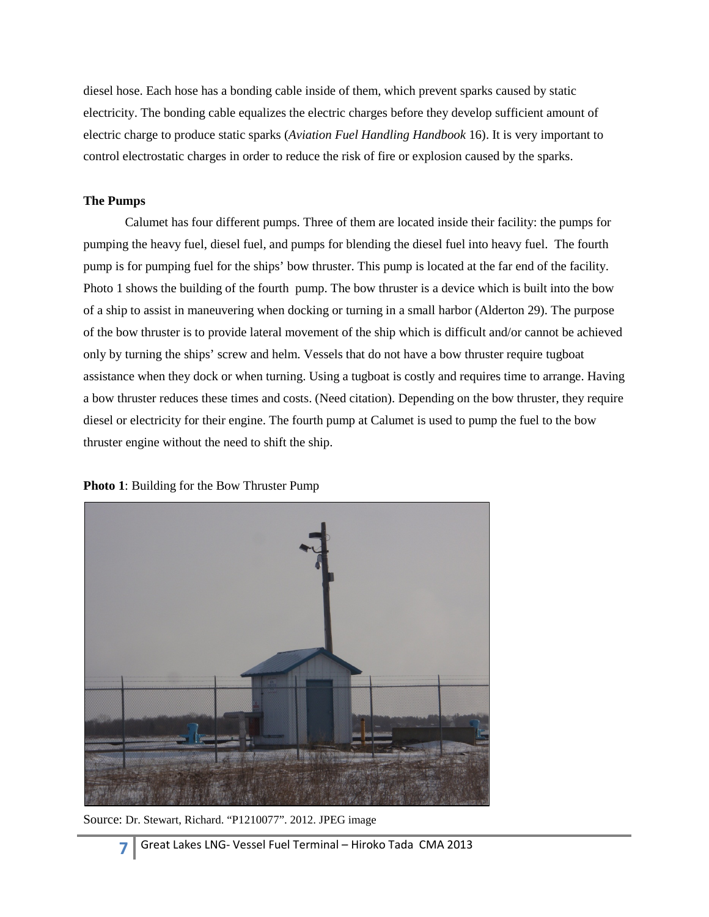diesel hose. Each hose has a bonding cable inside of them, which prevent sparks caused by static electricity. The bonding cable equalizes the electric charges before they develop sufficient amount of electric charge to produce static sparks (*Aviation Fuel Handling Handbook* 16). It is very important to control electrostatic charges in order to reduce the risk of fire or explosion caused by the sparks.

# **The Pumps**

Calumet has four different pumps. Three of them are located inside their facility: the pumps for pumping the heavy fuel, diesel fuel, and pumps for blending the diesel fuel into heavy fuel. The fourth pump is for pumping fuel for the ships' bow thruster. This pump is located at the far end of the facility. Photo 1 shows the building of the fourth pump. The bow thruster is a device which is built into the bow of a ship to assist in maneuvering when docking or turning in a small harbor (Alderton 29). The purpose of the bow thruster is to provide lateral movement of the ship which is difficult and/or cannot be achieved only by turning the ships' screw and helm. Vessels that do not have a bow thruster require tugboat assistance when they dock or when turning. Using a tugboat is costly and requires time to arrange. Having a bow thruster reduces these times and costs. (Need citation). Depending on the bow thruster, they require diesel or electricity for their engine. The fourth pump at Calumet is used to pump the fuel to the bow thruster engine without the need to shift the ship.

#### **Photo 1**: Building for the Bow Thruster Pump



Source: Dr. Stewart, Richard. "P1210077". 2012. JPEG image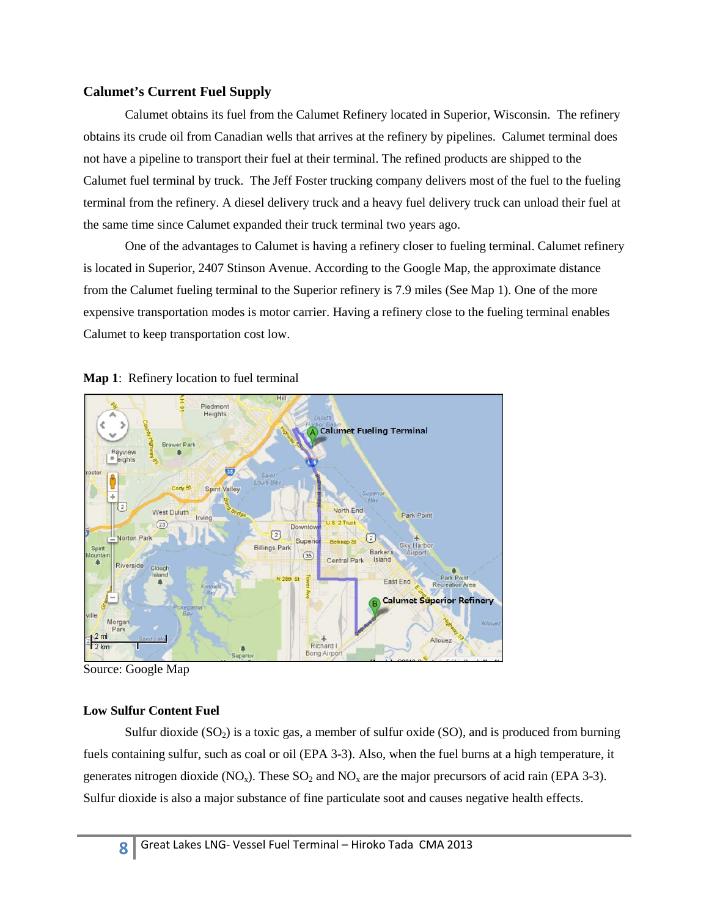#### **Calumet's Current Fuel Supply**

Calumet obtains its fuel from the Calumet Refinery located in Superior, Wisconsin. The refinery obtains its crude oil from Canadian wells that arrives at the refinery by pipelines. Calumet terminal does not have a pipeline to transport their fuel at their terminal. The refined products are shipped to the Calumet fuel terminal by truck. The Jeff Foster trucking company delivers most of the fuel to the fueling terminal from the refinery. A diesel delivery truck and a heavy fuel delivery truck can unload their fuel at the same time since Calumet expanded their truck terminal two years ago.

One of the advantages to Calumet is having a refinery closer to fueling terminal. Calumet refinery is located in Superior, 2407 Stinson Avenue. According to the Google Map, the approximate distance from the Calumet fueling terminal to the Superior refinery is 7.9 miles (See Map 1). One of the more expensive transportation modes is motor carrier. Having a refinery close to the fueling terminal enables Calumet to keep transportation cost low.



#### **Map 1**: Refinery location to fuel terminal

Source: Google Map

#### **Low Sulfur Content Fuel**

Sulfur dioxide  $(SO_2)$  is a toxic gas, a member of sulfur oxide  $(SO)$ , and is produced from burning fuels containing sulfur, such as coal or oil (EPA 3-3). Also, when the fuel burns at a high temperature, it generates nitrogen dioxide (NO<sub>x</sub>). These  $SO_2$  and NO<sub>x</sub> are the major precursors of acid rain (EPA 3-3). Sulfur dioxide is also a major substance of fine particulate soot and causes negative health effects.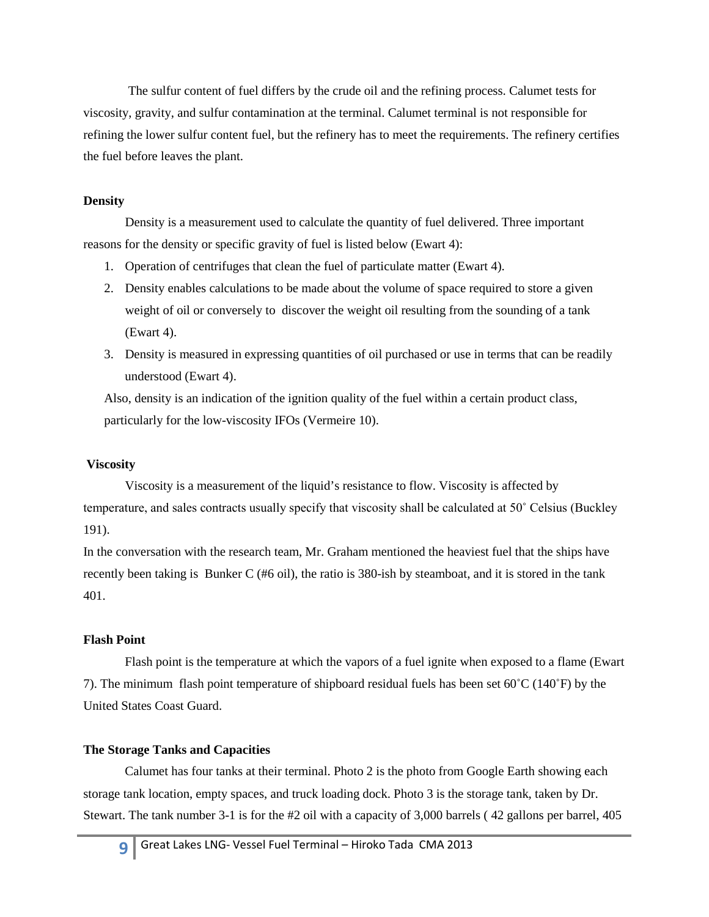The sulfur content of fuel differs by the crude oil and the refining process. Calumet tests for viscosity, gravity, and sulfur contamination at the terminal. Calumet terminal is not responsible for refining the lower sulfur content fuel, but the refinery has to meet the requirements. The refinery certifies the fuel before leaves the plant.

#### **Density**

Density is a measurement used to calculate the quantity of fuel delivered. Three important reasons for the density or specific gravity of fuel is listed below (Ewart 4):

- 1. Operation of centrifuges that clean the fuel of particulate matter (Ewart 4).
- 2. Density enables calculations to be made about the volume of space required to store a given weight of oil or conversely to discover the weight oil resulting from the sounding of a tank (Ewart 4).
- 3. Density is measured in expressing quantities of oil purchased or use in terms that can be readily understood (Ewart 4).

Also, density is an indication of the ignition quality of the fuel within a certain product class, particularly for the low-viscosity IFOs (Vermeire 10).

## **Viscosity**

Viscosity is a measurement of the liquid's resistance to flow. Viscosity is affected by temperature, and sales contracts usually specify that viscosity shall be calculated at 50˚ Celsius (Buckley 191).

In the conversation with the research team, Mr. Graham mentioned the heaviest fuel that the ships have recently been taking is Bunker C (#6 oil), the ratio is 380-ish by steamboat, and it is stored in the tank 401.

## **Flash Point**

Flash point is the temperature at which the vapors of a fuel ignite when exposed to a flame (Ewart 7). The minimum flash point temperature of shipboard residual fuels has been set 60˚C (140˚F) by the United States Coast Guard.

#### **The Storage Tanks and Capacities**

Calumet has four tanks at their terminal. Photo 2 is the photo from Google Earth showing each storage tank location, empty spaces, and truck loading dock. Photo 3 is the storage tank, taken by Dr. Stewart. The tank number 3-1 is for the #2 oil with a capacity of 3,000 barrels (42 gallons per barrel, 405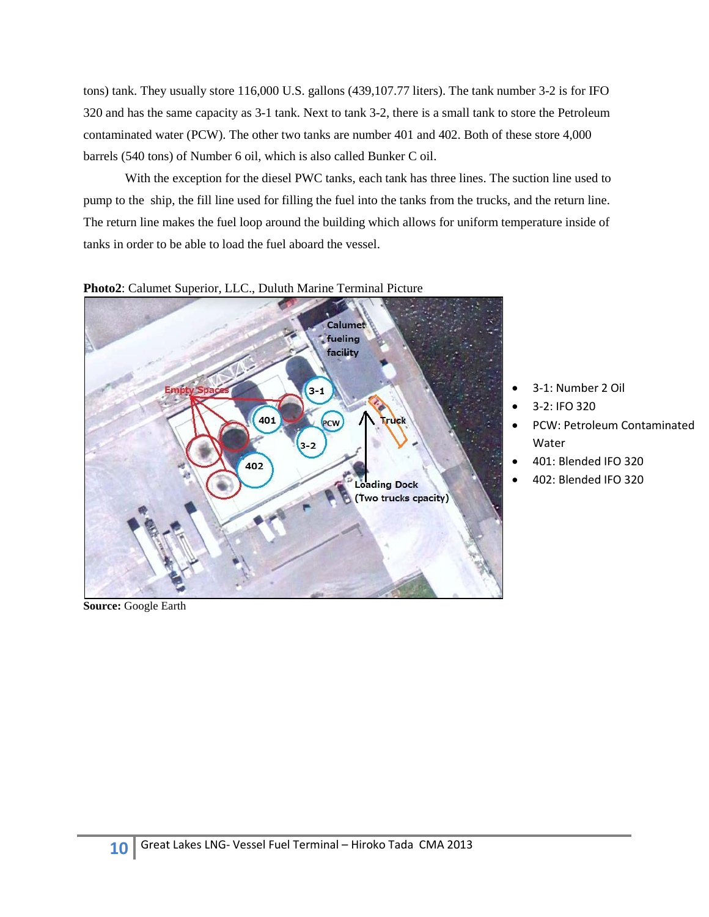tons) tank. They usually store 116,000 U.S. gallons (439,107.77 liters). The tank number 3-2 is for IFO 320 and has the same capacity as 3-1 tank. Next to tank 3-2, there is a small tank to store the Petroleum contaminated water (PCW). The other two tanks are number 401 and 402. Both of these store 4,000 barrels (540 tons) of Number 6 oil, which is also called Bunker C oil.

With the exception for the diesel PWC tanks, each tank has three lines. The suction line used to pump to the ship, the fill line used for filling the fuel into the tanks from the trucks, and the return line. The return line makes the fuel loop around the building which allows for uniform temperature inside of tanks in order to be able to load the fuel aboard the vessel.

#### **Photo2**: Calumet Superior, LLC., Duluth Marine Terminal Picture



- 3-1: Number 2 Oil
- 3-2: IFO 320
- PCW: Petroleum Contaminated Water
- 401: Blended IFO 320
- 402: Blended IFO 320

**Source:** Google Earth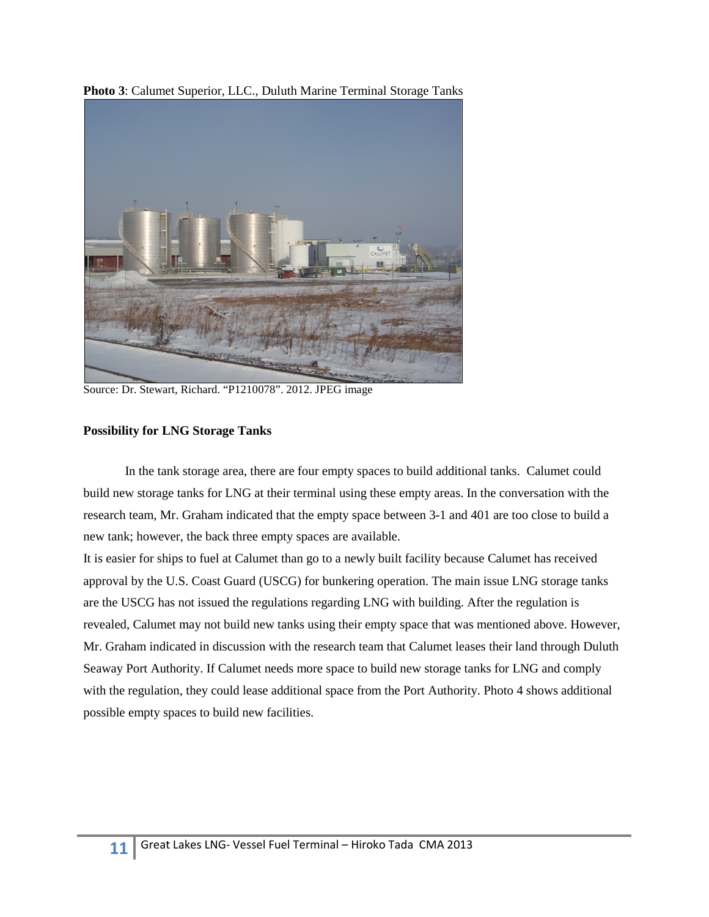**Photo 3**: Calumet Superior, LLC., Duluth Marine Terminal Storage Tanks



Source: Dr. Stewart, Richard. "P1210078". 2012. JPEG image

#### **Possibility for LNG Storage Tanks**

In the tank storage area, there are four empty spaces to build additional tanks. Calumet could build new storage tanks for LNG at their terminal using these empty areas. In the conversation with the research team, Mr. Graham indicated that the empty space between 3-1 and 401 are too close to build a new tank; however, the back three empty spaces are available.

It is easier for ships to fuel at Calumet than go to a newly built facility because Calumet has received approval by the U.S. Coast Guard (USCG) for bunkering operation. The main issue LNG storage tanks are the USCG has not issued the regulations regarding LNG with building. After the regulation is revealed, Calumet may not build new tanks using their empty space that was mentioned above. However, Mr. Graham indicated in discussion with the research team that Calumet leases their land through Duluth Seaway Port Authority. If Calumet needs more space to build new storage tanks for LNG and comply with the regulation, they could lease additional space from the Port Authority. Photo 4 shows additional possible empty spaces to build new facilities.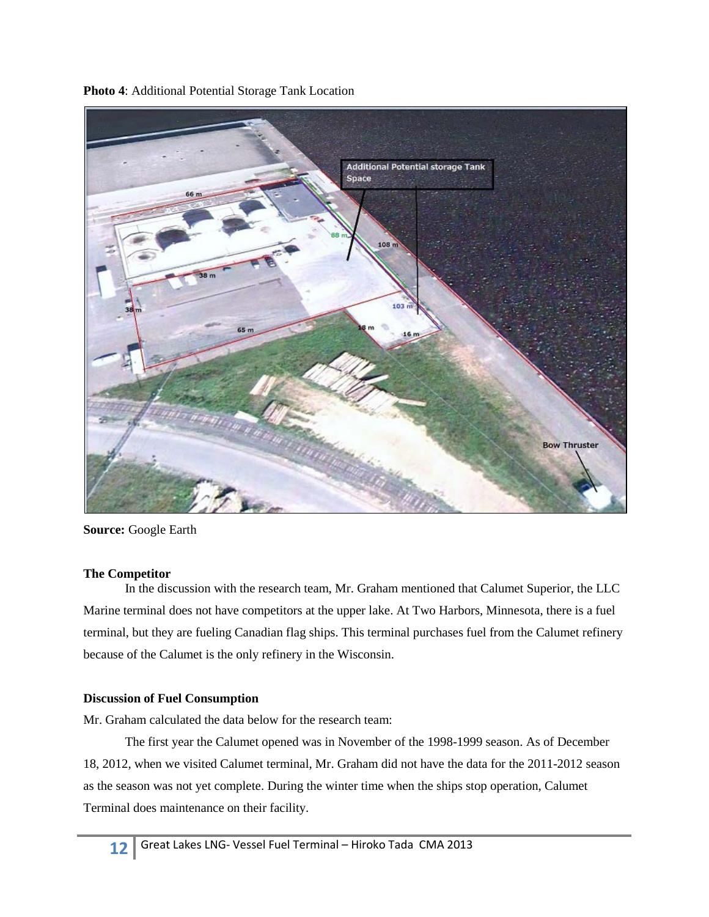

**Photo 4**: Additional Potential Storage Tank Location

**Source:** Google Earth

#### **The Competitor**

In the discussion with the research team, Mr. Graham mentioned that Calumet Superior, the LLC Marine terminal does not have competitors at the upper lake. At Two Harbors, Minnesota, there is a fuel terminal, but they are fueling Canadian flag ships. This terminal purchases fuel from the Calumet refinery because of the Calumet is the only refinery in the Wisconsin.

## **Discussion of Fuel Consumption**

Mr. Graham calculated the data below for the research team:

The first year the Calumet opened was in November of the 1998-1999 season. As of December 18, 2012, when we visited Calumet terminal, Mr. Graham did not have the data for the 2011-2012 season as the season was not yet complete. During the winter time when the ships stop operation, Calumet Terminal does maintenance on their facility.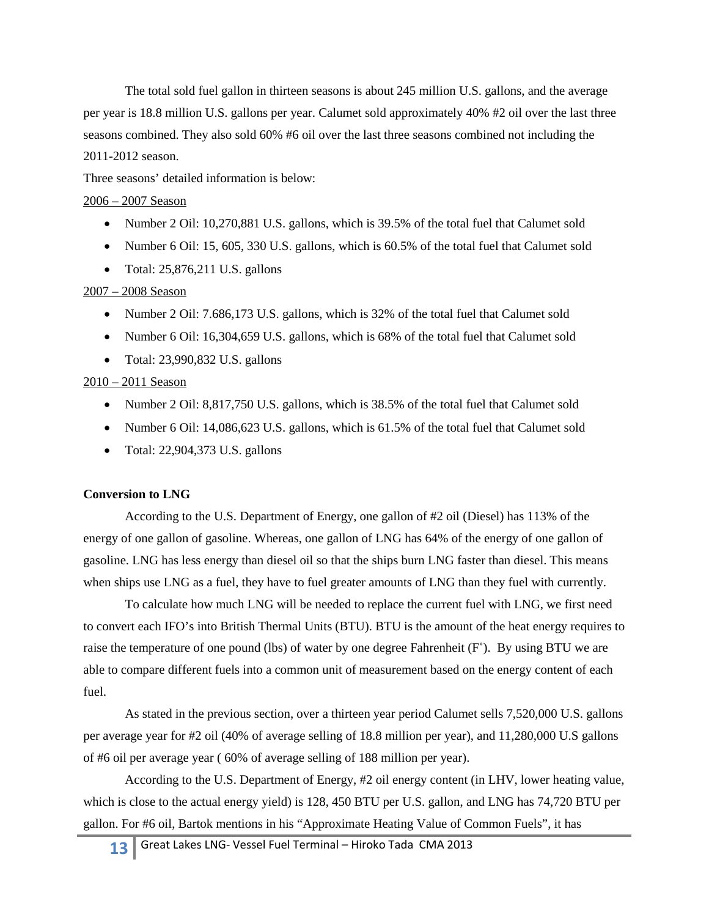The total sold fuel gallon in thirteen seasons is about 245 million U.S. gallons, and the average per year is 18.8 million U.S. gallons per year. Calumet sold approximately 40% #2 oil over the last three seasons combined. They also sold 60% #6 oil over the last three seasons combined not including the 2011-2012 season.

Three seasons' detailed information is below:

#### 2006 – 2007 Season

- Number 2 Oil: 10,270,881 U.S. gallons, which is 39.5% of the total fuel that Calumet sold
- Number 6 Oil: 15, 605, 330 U.S. gallons, which is 60.5% of the total fuel that Calumet sold
- Total: 25,876,211 U.S. gallons

#### 2007 – 2008 Season

- Number 2 Oil: 7.686,173 U.S. gallons, which is 32% of the total fuel that Calumet sold
- Number 6 Oil: 16,304,659 U.S. gallons, which is 68% of the total fuel that Calumet sold
- Total: 23,990,832 U.S. gallons

#### 2010 – 2011 Season

- Number 2 Oil: 8,817,750 U.S. gallons, which is 38.5% of the total fuel that Calumet sold
- Number 6 Oil: 14,086,623 U.S. gallons, which is 61.5% of the total fuel that Calumet sold
- Total: 22,904,373 U.S. gallons

#### **Conversion to LNG**

According to the U.S. Department of Energy, one gallon of #2 oil (Diesel) has 113% of the energy of one gallon of gasoline. Whereas, one gallon of LNG has 64% of the energy of one gallon of gasoline. LNG has less energy than diesel oil so that the ships burn LNG faster than diesel. This means when ships use LNG as a fuel, they have to fuel greater amounts of LNG than they fuel with currently.

To calculate how much LNG will be needed to replace the current fuel with LNG, we first need to convert each IFO's into British Thermal Units (BTU). BTU is the amount of the heat energy requires to raise the temperature of one pound (lbs) of water by one degree Fahrenheit (F˚). By using BTU we are able to compare different fuels into a common unit of measurement based on the energy content of each fuel.

As stated in the previous section, over a thirteen year period Calumet sells 7,520,000 U.S. gallons per average year for #2 oil (40% of average selling of 18.8 million per year), and 11,280,000 U.S gallons of #6 oil per average year ( 60% of average selling of 188 million per year).

According to the U.S. Department of Energy, #2 oil energy content (in LHV, lower heating value, which is close to the actual energy yield) is 128, 450 BTU per U.S. gallon, and LNG has 74,720 BTU per gallon. For #6 oil, Bartok mentions in his "Approximate Heating Value of Common Fuels", it has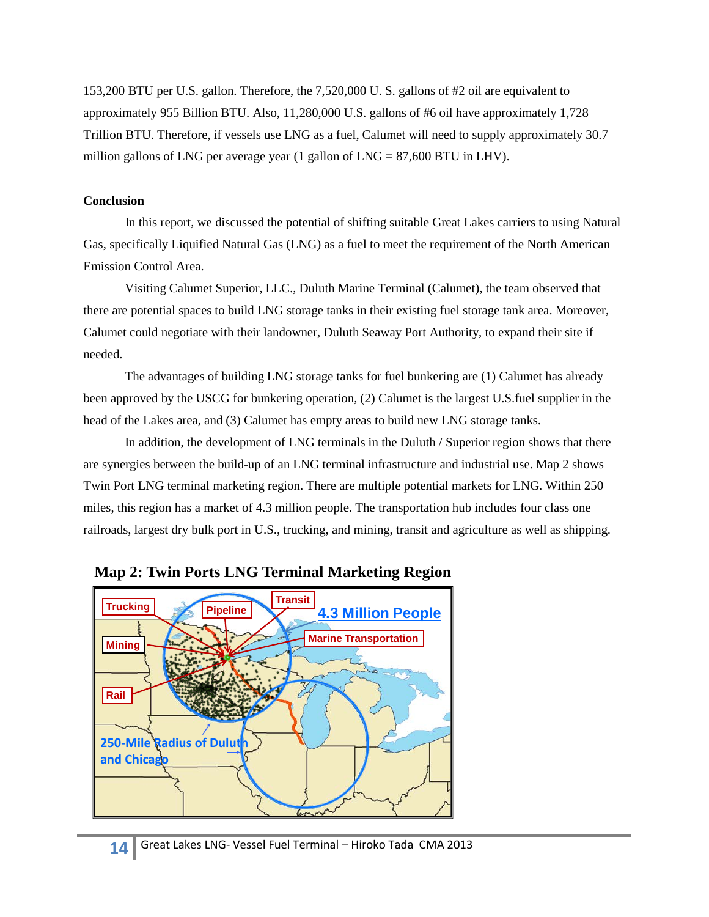153,200 BTU per U.S. gallon. Therefore, the 7,520,000 U. S. gallons of #2 oil are equivalent to approximately 955 Billion BTU. Also, 11,280,000 U.S. gallons of #6 oil have approximately 1,728 Trillion BTU. Therefore, if vessels use LNG as a fuel, Calumet will need to supply approximately 30.7 million gallons of LNG per average year  $(1 \text{ gallon of LNG} = 87,600 \text{ BTU in LHV}).$ 

# **Conclusion**

In this report, we discussed the potential of shifting suitable Great Lakes carriers to using Natural Gas, specifically Liquified Natural Gas (LNG) as a fuel to meet the requirement of the North American Emission Control Area.

Visiting Calumet Superior, LLC., Duluth Marine Terminal (Calumet), the team observed that there are potential spaces to build LNG storage tanks in their existing fuel storage tank area. Moreover, Calumet could negotiate with their landowner, Duluth Seaway Port Authority, to expand their site if needed.

The advantages of building LNG storage tanks for fuel bunkering are (1) Calumet has already been approved by the USCG for bunkering operation, (2) Calumet is the largest U.S.fuel supplier in the head of the Lakes area, and (3) Calumet has empty areas to build new LNG storage tanks.

In addition, the development of LNG terminals in the Duluth / Superior region shows that there are synergies between the build-up of an LNG terminal infrastructure and industrial use. Map 2 shows Twin Port LNG terminal marketing region. There are multiple potential markets for LNG. Within 250 miles, this region has a market of 4.3 million people. The transportation hub includes four class one railroads, largest dry bulk port in U.S., trucking, and mining, transit and agriculture as well as shipping.



# **Map 2: Twin Ports LNG Terminal Marketing Region**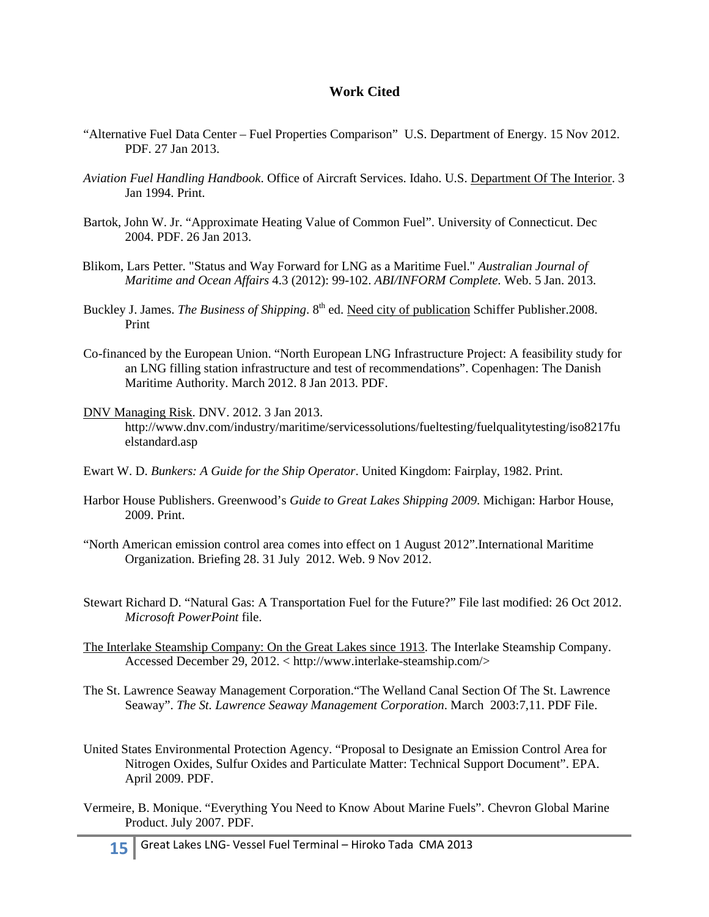## **Work Cited**

- "Alternative Fuel Data Center Fuel Properties Comparison" U.S. Department of Energy. 15 Nov 2012. PDF. 27 Jan 2013.
- *Aviation Fuel Handling Handbook*. Office of Aircraft Services. Idaho. U.S. Department Of The Interior. 3 Jan 1994. Print.
- Bartok, John W. Jr. "Approximate Heating Value of Common Fuel". University of Connecticut. Dec 2004. PDF. 26 Jan 2013.
- Blikom, Lars Petter. "Status and Way Forward for LNG as a Maritime Fuel." *Australian Journal of Maritime and Ocean Affairs* 4.3 (2012): 99-102. *ABI/INFORM Complete.* Web. 5 Jan. 2013.
- Buckley J. James. *The Business of Shipping*. 8<sup>th</sup> ed. Need city of publication Schiffer Publisher.2008. Print
- Co-financed by the European Union. "North European LNG Infrastructure Project: A feasibility study for an LNG filling station infrastructure and test of recommendations". Copenhagen: The Danish Maritime Authority. March 2012. 8 Jan 2013. PDF.
- DNV Managing Risk. DNV. 2012. 3 Jan 2013. [http://www.dnv.com/industry/maritime/servicessolutions/fueltesting/fuelqualitytesting/iso8217fu](http://www.dnv.com/industry/maritime/servicessolutions/fueltesting/fuelqualitytesting/iso8217fuelstandard.asp) [elstandard.asp](http://www.dnv.com/industry/maritime/servicessolutions/fueltesting/fuelqualitytesting/iso8217fuelstandard.asp)
- Ewart W. D. *Bunkers: A Guide for the Ship Operator*. United Kingdom: Fairplay, 1982. Print.
- Harbor House Publishers. Greenwood's *Guide to Great Lakes Shipping 2009*. Michigan: Harbor House, 2009. Print.
- "North American emission control area comes into effect on 1 August 2012".International Maritime Organization. Briefing 28. 31 July 2012. Web. 9 Nov 2012.
- Stewart Richard D. "Natural Gas: A Transportation Fuel for the Future?" File last modified: 26 Oct 2012. *Microsoft PowerPoint* file.
- The Interlake Steamship Company: On the Great Lakes since 1913. The Interlake Steamship Company. Accessed December 29, 2012. < [http://www.interlake-steamship.com/>](http://www.interlake-steamship.com/)
- The St. Lawrence Seaway Management Corporation."The Welland Canal Section Of The St. Lawrence Seaway". *The St. Lawrence Seaway Management Corporation*. March 2003:7,11. PDF File.
- United States Environmental Protection Agency. "Proposal to Designate an Emission Control Area for Nitrogen Oxides, Sulfur Oxides and Particulate Matter: Technical Support Document". EPA. April 2009. PDF.
- Vermeire, B. Monique. "Everything You Need to Know About Marine Fuels". Chevron Global Marine Product. July 2007. PDF.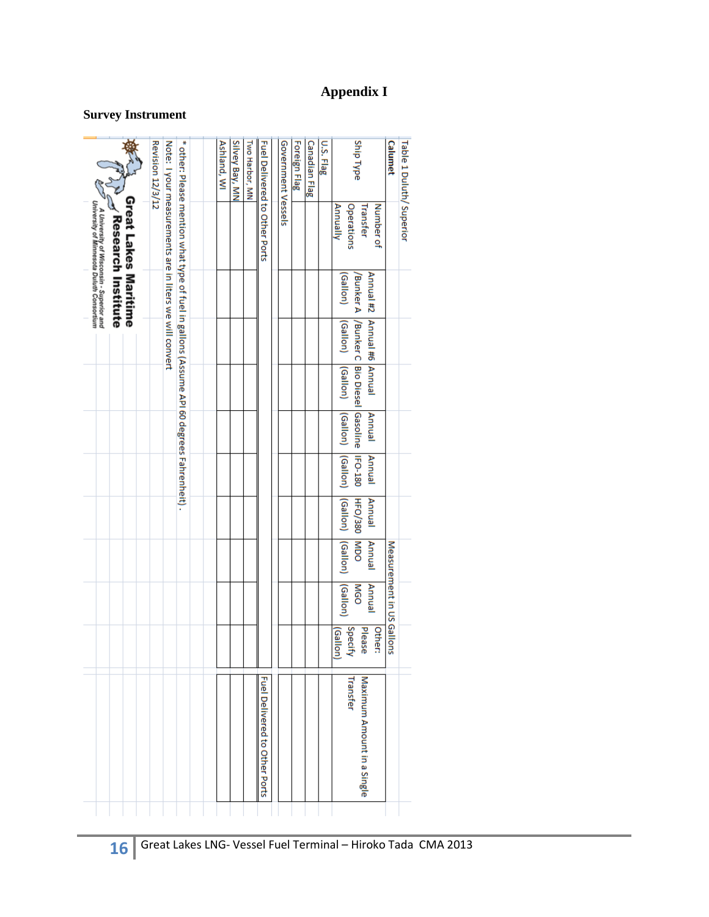# **Appendix I**

# **Survey Instrument**

| Foreign Flag<br>Government Vessels<br><b>Canadian Flag</b><br><b>Operations</b><br>Annually<br>Number of<br>Transfer<br>Annual #2<br>(Gallon)<br>/Bunker A<br>/Bunker C Bio Diesel Gasoline<br>(uolle <sub>D</sub> )<br>Annual #6<br>Annual<br>(uolle <sub>D</sub> )<br>(Gallon) (Gallon)<br>Annual<br>IFO-180<br>Annual<br>(Gallon) (Gallon)<br>HFO/380<br>Annual<br><b>NDO</b><br>Annual | <b>Fuel Delivered to Other Ports</b> | Two Harbor, MN                       | Silvey Bay, MN | Ashland, WI | * other: Please mention what type of fuel in gallons (Assume API 60 degrees Fahrenheit). | Note: I your measurements are in liters we will convert | Revision 12/3/12 |
|--------------------------------------------------------------------------------------------------------------------------------------------------------------------------------------------------------------------------------------------------------------------------------------------------------------------------------------------------------------------------------------------|--------------------------------------|--------------------------------------|----------------|-------------|------------------------------------------------------------------------------------------|---------------------------------------------------------|------------------|
| Measurement in US Gallons<br><b>MGO</b><br>Annual                                                                                                                                                                                                                                                                                                                                          |                                      |                                      |                |             |                                                                                          |                                                         |                  |
| (uolleg)<br>Specify<br>Please<br><b>Other:</b><br>(Gallon)                                                                                                                                                                                                                                                                                                                                 |                                      |                                      |                |             |                                                                                          |                                                         |                  |
| Maximum Amount in a Single<br>Transfer                                                                                                                                                                                                                                                                                                                                                     |                                      | <b>Fuel Delivered to Other Ports</b> |                |             |                                                                                          |                                                         |                  |